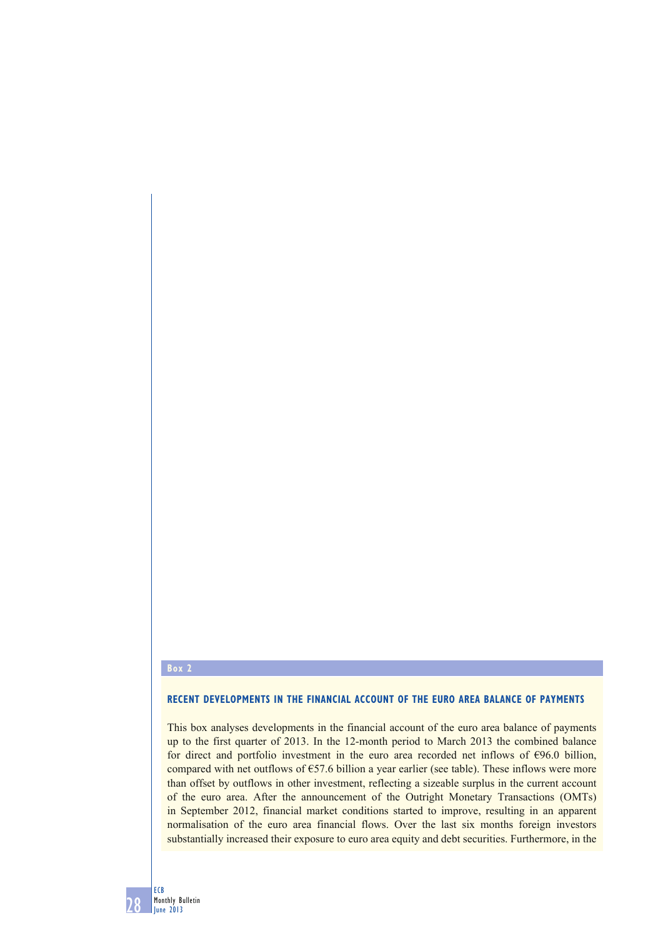## **Box 2**

28

ECB Monthly Bulletin June 2013

## **RECENT DEVELOPMENTS IN THE FINANCIAL ACCOUNT OF THE EURO AREA BALANCE OF PAYMENTS**

This box analyses developments in the financial account of the euro area balance of payments up to the first quarter of 2013. In the 12-month period to March 2013 the combined balance for direct and portfolio investment in the euro area recorded net inflows of  $\epsilon$ 96.0 billion, compared with net outflows of  $\epsilon$ 57.6 billion a year earlier (see table). These inflows were more than offset by outflows in other investment, reflecting a sizeable surplus in the current account of the euro area. After the announcement of the Outright Monetary Transactions (OMTs) in September 2012, financial market conditions started to improve, resulting in an apparent normalisation of the euro area financial flows. Over the last six months foreign investors substantially increased their exposure to euro area equity and debt securities. Furthermore, in the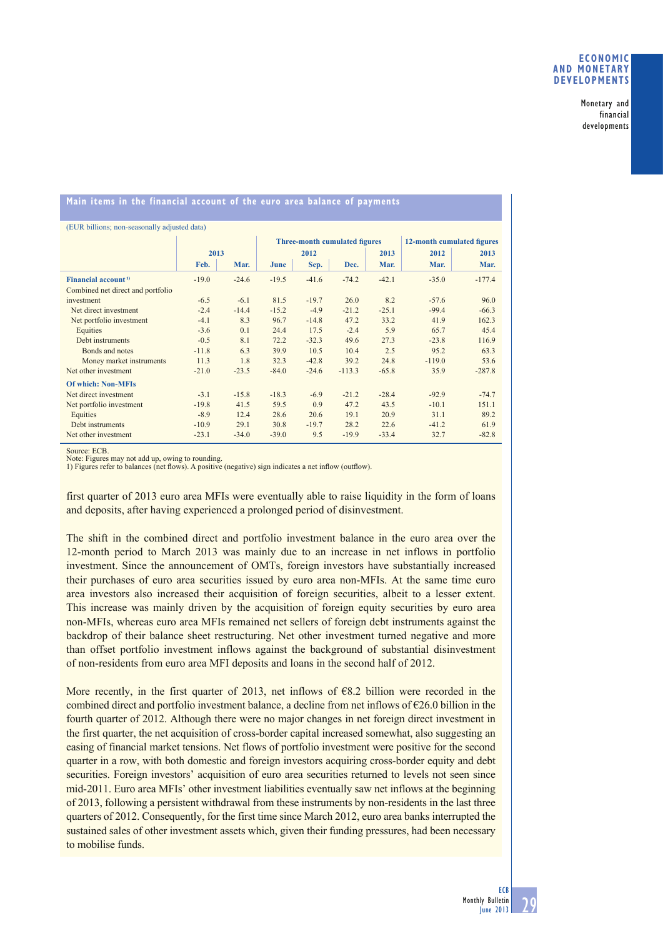## **ECONOMIC AND MONETARY DEVELOPMENTS**

Monetary and financial developments

## **Main items in the financial account of the euro area balance of payments**

| (EUR billions; non-seasonally adjusted data) |         |         |                               |         |          |         |                            |          |
|----------------------------------------------|---------|---------|-------------------------------|---------|----------|---------|----------------------------|----------|
|                                              | 2013    |         | Three-month cumulated figures |         |          |         | 12-month cumulated figures |          |
|                                              |         |         | 2012                          |         |          | 2013    | 2012                       | 2013     |
|                                              | Feb.    | Mar.    | June                          | Sep.    | Dec.     | Mar.    | Mar.                       | Mar.     |
| Financial account <sup>1)</sup>              | $-19.0$ | $-24.6$ | $-19.5$                       | $-41.6$ | $-74.2$  | $-42.1$ | $-35.0$                    | $-177.4$ |
| Combined net direct and portfolio            |         |         |                               |         |          |         |                            |          |
| investment                                   | $-6.5$  | $-6.1$  | 81.5                          | $-19.7$ | 26.0     | 8.2     | $-57.6$                    | 96.0     |
| Net direct investment                        | $-2.4$  | $-14.4$ | $-15.2$                       | $-4.9$  | $-21.2$  | $-25.1$ | $-99.4$                    | $-66.3$  |
| Net portfolio investment                     | $-4.1$  | 8.3     | 96.7                          | $-14.8$ | 47.2     | 33.2    | 41.9                       | 162.3    |
| Equities                                     | $-3.6$  | 0.1     | 24.4                          | 17.5    | $-2.4$   | 5.9     | 65.7                       | 45.4     |
| Debt instruments                             | $-0.5$  | 8.1     | 72.2                          | $-32.3$ | 49.6     | 27.3    | $-23.8$                    | 116.9    |
| Bonds and notes                              | $-11.8$ | 6.3     | 39.9                          | 10.5    | 10.4     | 2.5     | 95.2                       | 63.3     |
| Money market instruments                     | 11.3    | 1.8     | 32.3                          | $-42.8$ | 39.2     | 24.8    | $-119.0$                   | 53.6     |
| Net other investment                         | $-21.0$ | $-23.5$ | $-84.0$                       | $-24.6$ | $-113.3$ | $-65.8$ | 35.9                       | $-287.8$ |
| <b>Of which: Non-MFIs</b>                    |         |         |                               |         |          |         |                            |          |
| Net direct investment                        | $-3.1$  | $-15.8$ | $-18.3$                       | $-6.9$  | $-21.2$  | $-28.4$ | $-92.9$                    | $-74.7$  |
| Net portfolio investment                     | $-19.8$ | 41.5    | 59.5                          | 0.9     | 47.2     | 43.5    | $-10.1$                    | 151.1    |
| Equities                                     | $-8.9$  | 12.4    | 28.6                          | 20.6    | 19.1     | 20.9    | 31.1                       | 89.2     |
| Debt instruments                             | $-10.9$ | 29.1    | 30.8                          | $-19.7$ | 28.2     | 22.6    | $-41.2$                    | 61.9     |
| Net other investment                         | $-23.1$ | $-34.0$ | $-39.0$                       | 9.5     | $-19.9$  | $-33.4$ | 32.7                       | $-82.8$  |

Source: ECB

Note: Figures may not add up, owing to rounding.

1) Figures refer to balances (net flows). A positive (negative) sign indicates a net inflow (outflow).

first quarter of 2013 euro area MFIs were eventually able to raise liquidity in the form of loans and deposits, after having experienced a prolonged period of disinvestment.

The shift in the combined direct and portfolio investment balance in the euro area over the 12-month period to March 2013 was mainly due to an increase in net inflows in portfolio investment. Since the announcement of OMTs, foreign investors have substantially increased their purchases of euro area securities issued by euro area non-MFIs. At the same time euro area investors also increased their acquisition of foreign securities, albeit to a lesser extent. This increase was mainly driven by the acquisition of foreign equity securities by euro area non-MFIs, whereas euro area MFIs remained net sellers of foreign debt instruments against the backdrop of their balance sheet restructuring. Net other investment turned negative and more than offset portfolio investment inflows against the background of substantial disinvestment of non-residents from euro area MFI deposits and loans in the second half of 2012.

More recently, in the first quarter of 2013, net inflows of  $68.2$  billion were recorded in the combined direct and portfolio investment balance, a decline from net inflows of  $\epsilon$ 26.0 billion in the fourth quarter of 2012. Although there were no major changes in net foreign direct investment in the first quarter, the net acquisition of cross-border capital increased somewhat, also suggesting an easing of financial market tensions. Net flows of portfolio investment were positive for the second quarter in a row, with both domestic and foreign investors acquiring cross-border equity and debt securities. Foreign investors' acquisition of euro area securities returned to levels not seen since mid-2011. Euro area MFIs' other investment liabilities eventually saw net inflows at the beginning of 2013, following a persistent withdrawal from these instruments by non-residents in the last three quarters of 2012. Consequently, for the first time since March 2012, euro area banks interrupted the sustained sales of other investment assets which, given their funding pressures, had been necessary to mobilise funds.